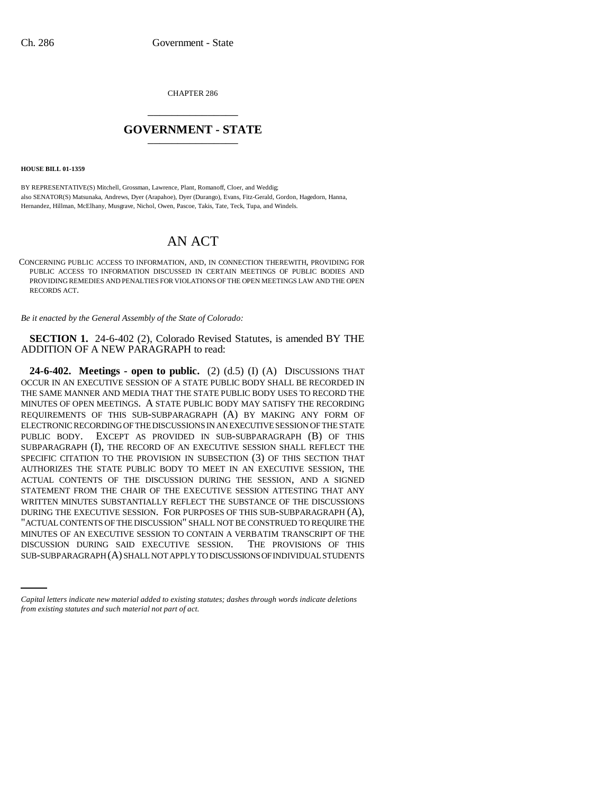CHAPTER 286 \_\_\_\_\_\_\_\_\_\_\_\_\_\_\_

## **GOVERNMENT - STATE** \_\_\_\_\_\_\_\_\_\_\_\_\_\_\_

**HOUSE BILL 01-1359**

BY REPRESENTATIVE(S) Mitchell, Grossman, Lawrence, Plant, Romanoff, Cloer, and Weddig; also SENATOR(S) Matsunaka, Andrews, Dyer (Arapahoe), Dyer (Durango), Evans, Fitz-Gerald, Gordon, Hagedorn, Hanna, Hernandez, Hillman, McElhany, Musgrave, Nichol, Owen, Pascoe, Takis, Tate, Teck, Tupa, and Windels.

## AN ACT

CONCERNING PUBLIC ACCESS TO INFORMATION, AND, IN CONNECTION THEREWITH, PROVIDING FOR PUBLIC ACCESS TO INFORMATION DISCUSSED IN CERTAIN MEETINGS OF PUBLIC BODIES AND PROVIDING REMEDIES AND PENALTIES FOR VIOLATIONS OF THE OPEN MEETINGS LAW AND THE OPEN RECORDS ACT.

*Be it enacted by the General Assembly of the State of Colorado:*

**SECTION 1.** 24-6-402 (2), Colorado Revised Statutes, is amended BY THE ADDITION OF A NEW PARAGRAPH to read:

MINUTES OF AN EXECUTIVE SESSION TO CONTAIN A VERBATIM TRANSCRIPT OF THE **24-6-402. Meetings - open to public.** (2) (d.5) (I) (A) DISCUSSIONS THAT OCCUR IN AN EXECUTIVE SESSION OF A STATE PUBLIC BODY SHALL BE RECORDED IN THE SAME MANNER AND MEDIA THAT THE STATE PUBLIC BODY USES TO RECORD THE MINUTES OF OPEN MEETINGS. A STATE PUBLIC BODY MAY SATISFY THE RECORDING REQUIREMENTS OF THIS SUB-SUBPARAGRAPH (A) BY MAKING ANY FORM OF ELECTRONIC RECORDING OF THE DISCUSSIONS IN AN EXECUTIVE SESSION OF THE STATE PUBLIC BODY. EXCEPT AS PROVIDED IN SUB-SUBPARAGRAPH (B) OF THIS SUBPARAGRAPH (I), THE RECORD OF AN EXECUTIVE SESSION SHALL REFLECT THE SPECIFIC CITATION TO THE PROVISION IN SUBSECTION (3) OF THIS SECTION THAT AUTHORIZES THE STATE PUBLIC BODY TO MEET IN AN EXECUTIVE SESSION, THE ACTUAL CONTENTS OF THE DISCUSSION DURING THE SESSION, AND A SIGNED STATEMENT FROM THE CHAIR OF THE EXECUTIVE SESSION ATTESTING THAT ANY WRITTEN MINUTES SUBSTANTIALLY REFLECT THE SUBSTANCE OF THE DISCUSSIONS DURING THE EXECUTIVE SESSION. FOR PURPOSES OF THIS SUB-SUBPARAGRAPH (A), "ACTUAL CONTENTS OF THE DISCUSSION" SHALL NOT BE CONSTRUED TO REQUIRE THE DISCUSSION DURING SAID EXECUTIVE SESSION. THE PROVISIONS OF THIS SUB-SUBPARAGRAPH (A) SHALL NOT APPLY TO DISCUSSIONS OF INDIVIDUAL STUDENTS

*Capital letters indicate new material added to existing statutes; dashes through words indicate deletions from existing statutes and such material not part of act.*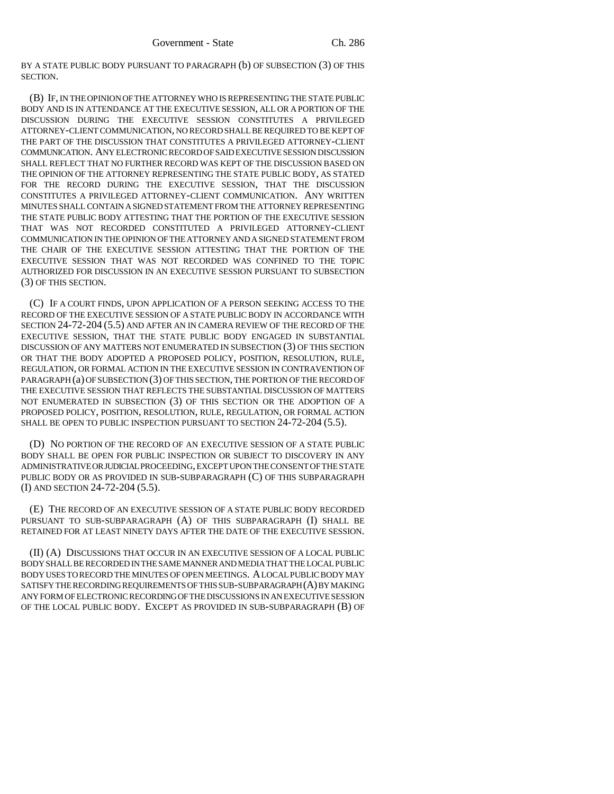BY A STATE PUBLIC BODY PURSUANT TO PARAGRAPH (b) OF SUBSECTION (3) OF THIS SECTION.

(B) IF, IN THE OPINION OF THE ATTORNEY WHO IS REPRESENTING THE STATE PUBLIC BODY AND IS IN ATTENDANCE AT THE EXECUTIVE SESSION, ALL OR A PORTION OF THE DISCUSSION DURING THE EXECUTIVE SESSION CONSTITUTES A PRIVILEGED ATTORNEY-CLIENT COMMUNICATION, NO RECORD SHALL BE REQUIRED TO BE KEPT OF THE PART OF THE DISCUSSION THAT CONSTITUTES A PRIVILEGED ATTORNEY-CLIENT COMMUNICATION. ANY ELECTRONIC RECORD OF SAID EXECUTIVE SESSION DISCUSSION SHALL REFLECT THAT NO FURTHER RECORD WAS KEPT OF THE DISCUSSION BASED ON THE OPINION OF THE ATTORNEY REPRESENTING THE STATE PUBLIC BODY, AS STATED FOR THE RECORD DURING THE EXECUTIVE SESSION, THAT THE DISCUSSION CONSTITUTES A PRIVILEGED ATTORNEY-CLIENT COMMUNICATION. ANY WRITTEN MINUTES SHALL CONTAIN A SIGNED STATEMENT FROM THE ATTORNEY REPRESENTING THE STATE PUBLIC BODY ATTESTING THAT THE PORTION OF THE EXECUTIVE SESSION THAT WAS NOT RECORDED CONSTITUTED A PRIVILEGED ATTORNEY-CLIENT COMMUNICATION IN THE OPINION OF THE ATTORNEY AND A SIGNED STATEMENT FROM THE CHAIR OF THE EXECUTIVE SESSION ATTESTING THAT THE PORTION OF THE EXECUTIVE SESSION THAT WAS NOT RECORDED WAS CONFINED TO THE TOPIC AUTHORIZED FOR DISCUSSION IN AN EXECUTIVE SESSION PURSUANT TO SUBSECTION (3) OF THIS SECTION.

(C) IF A COURT FINDS, UPON APPLICATION OF A PERSON SEEKING ACCESS TO THE RECORD OF THE EXECUTIVE SESSION OF A STATE PUBLIC BODY IN ACCORDANCE WITH SECTION 24-72-204 (5.5) AND AFTER AN IN CAMERA REVIEW OF THE RECORD OF THE EXECUTIVE SESSION, THAT THE STATE PUBLIC BODY ENGAGED IN SUBSTANTIAL DISCUSSION OF ANY MATTERS NOT ENUMERATED IN SUBSECTION (3) OF THIS SECTION OR THAT THE BODY ADOPTED A PROPOSED POLICY, POSITION, RESOLUTION, RULE, REGULATION, OR FORMAL ACTION IN THE EXECUTIVE SESSION IN CONTRAVENTION OF PARAGRAPH (a) OF SUBSECTION (3) OF THIS SECTION, THE PORTION OF THE RECORD OF THE EXECUTIVE SESSION THAT REFLECTS THE SUBSTANTIAL DISCUSSION OF MATTERS NOT ENUMERATED IN SUBSECTION (3) OF THIS SECTION OR THE ADOPTION OF A PROPOSED POLICY, POSITION, RESOLUTION, RULE, REGULATION, OR FORMAL ACTION SHALL BE OPEN TO PUBLIC INSPECTION PURSUANT TO SECTION 24-72-204 (5.5).

(D) NO PORTION OF THE RECORD OF AN EXECUTIVE SESSION OF A STATE PUBLIC BODY SHALL BE OPEN FOR PUBLIC INSPECTION OR SUBJECT TO DISCOVERY IN ANY ADMINISTRATIVE OR JUDICIAL PROCEEDING, EXCEPT UPON THE CONSENT OF THE STATE PUBLIC BODY OR AS PROVIDED IN SUB-SUBPARAGRAPH (C) OF THIS SUBPARAGRAPH (I) AND SECTION 24-72-204 (5.5).

(E) THE RECORD OF AN EXECUTIVE SESSION OF A STATE PUBLIC BODY RECORDED PURSUANT TO SUB-SUBPARAGRAPH (A) OF THIS SUBPARAGRAPH (I) SHALL BE RETAINED FOR AT LEAST NINETY DAYS AFTER THE DATE OF THE EXECUTIVE SESSION.

(II) (A) DISCUSSIONS THAT OCCUR IN AN EXECUTIVE SESSION OF A LOCAL PUBLIC BODY SHALL BE RECORDED IN THE SAME MANNER AND MEDIA THAT THE LOCAL PUBLIC BODY USES TO RECORD THE MINUTES OF OPEN MEETINGS. A LOCAL PUBLIC BODY MAY SATISFY THE RECORDING REQUIREMENTS OF THIS SUB-SUBPARAGRAPH (A) BY MAKING ANY FORM OF ELECTRONIC RECORDING OF THE DISCUSSIONS IN AN EXECUTIVE SESSION OF THE LOCAL PUBLIC BODY. EXCEPT AS PROVIDED IN SUB-SUBPARAGRAPH (B) OF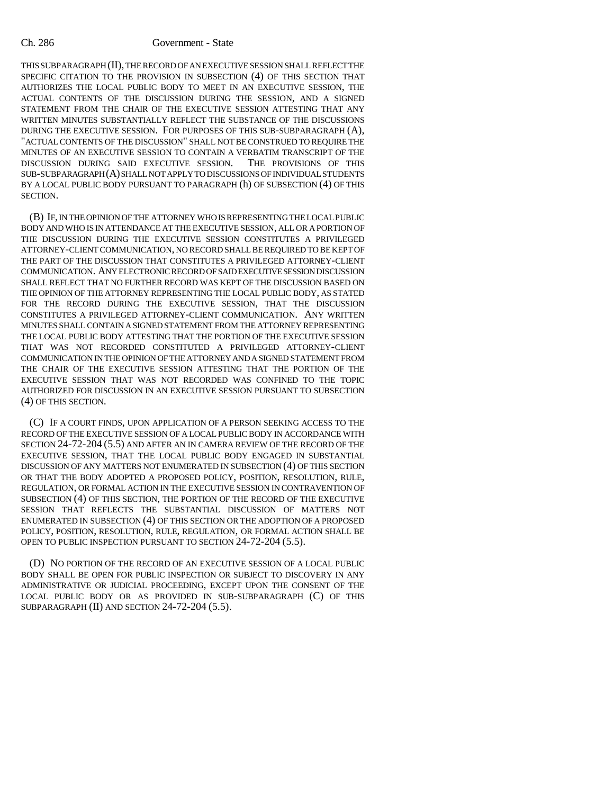## Ch. 286 Government - State

THIS SUBPARAGRAPH (II), THE RECORD OF AN EXECUTIVE SESSION SHALL REFLECT THE SPECIFIC CITATION TO THE PROVISION IN SUBSECTION (4) OF THIS SECTION THAT AUTHORIZES THE LOCAL PUBLIC BODY TO MEET IN AN EXECUTIVE SESSION, THE ACTUAL CONTENTS OF THE DISCUSSION DURING THE SESSION, AND A SIGNED STATEMENT FROM THE CHAIR OF THE EXECUTIVE SESSION ATTESTING THAT ANY WRITTEN MINUTES SUBSTANTIALLY REFLECT THE SUBSTANCE OF THE DISCUSSIONS DURING THE EXECUTIVE SESSION. FOR PURPOSES OF THIS SUB-SUBPARAGRAPH (A), "ACTUAL CONTENTS OF THE DISCUSSION" SHALL NOT BE CONSTRUED TO REQUIRE THE MINUTES OF AN EXECUTIVE SESSION TO CONTAIN A VERBATIM TRANSCRIPT OF THE DISCUSSION DURING SAID EXECUTIVE SESSION. THE PROVISIONS OF THIS SUB-SUBPARAGRAPH (A) SHALL NOT APPLY TO DISCUSSIONS OF INDIVIDUAL STUDENTS BY A LOCAL PUBLIC BODY PURSUANT TO PARAGRAPH (h) OF SUBSECTION (4) OF THIS SECTION.

(B) IF, IN THE OPINION OF THE ATTORNEY WHO IS REPRESENTING THE LOCAL PUBLIC BODY AND WHO IS IN ATTENDANCE AT THE EXECUTIVE SESSION, ALL OR A PORTION OF THE DISCUSSION DURING THE EXECUTIVE SESSION CONSTITUTES A PRIVILEGED ATTORNEY-CLIENT COMMUNICATION, NO RECORD SHALL BE REQUIRED TO BE KEPT OF THE PART OF THE DISCUSSION THAT CONSTITUTES A PRIVILEGED ATTORNEY-CLIENT COMMUNICATION. ANY ELECTRONIC RECORD OF SAID EXECUTIVE SESSION DISCUSSION SHALL REFLECT THAT NO FURTHER RECORD WAS KEPT OF THE DISCUSSION BASED ON THE OPINION OF THE ATTORNEY REPRESENTING THE LOCAL PUBLIC BODY, AS STATED FOR THE RECORD DURING THE EXECUTIVE SESSION, THAT THE DISCUSSION CONSTITUTES A PRIVILEGED ATTORNEY-CLIENT COMMUNICATION. ANY WRITTEN MINUTES SHALL CONTAIN A SIGNED STATEMENT FROM THE ATTORNEY REPRESENTING THE LOCAL PUBLIC BODY ATTESTING THAT THE PORTION OF THE EXECUTIVE SESSION THAT WAS NOT RECORDED CONSTITUTED A PRIVILEGED ATTORNEY-CLIENT COMMUNICATION IN THE OPINION OF THE ATTORNEY AND A SIGNED STATEMENT FROM THE CHAIR OF THE EXECUTIVE SESSION ATTESTING THAT THE PORTION OF THE EXECUTIVE SESSION THAT WAS NOT RECORDED WAS CONFINED TO THE TOPIC AUTHORIZED FOR DISCUSSION IN AN EXECUTIVE SESSION PURSUANT TO SUBSECTION (4) OF THIS SECTION.

(C) IF A COURT FINDS, UPON APPLICATION OF A PERSON SEEKING ACCESS TO THE RECORD OF THE EXECUTIVE SESSION OF A LOCAL PUBLIC BODY IN ACCORDANCE WITH SECTION 24-72-204 (5.5) AND AFTER AN IN CAMERA REVIEW OF THE RECORD OF THE EXECUTIVE SESSION, THAT THE LOCAL PUBLIC BODY ENGAGED IN SUBSTANTIAL DISCUSSION OF ANY MATTERS NOT ENUMERATED IN SUBSECTION (4) OF THIS SECTION OR THAT THE BODY ADOPTED A PROPOSED POLICY, POSITION, RESOLUTION, RULE, REGULATION, OR FORMAL ACTION IN THE EXECUTIVE SESSION IN CONTRAVENTION OF SUBSECTION (4) OF THIS SECTION, THE PORTION OF THE RECORD OF THE EXECUTIVE SESSION THAT REFLECTS THE SUBSTANTIAL DISCUSSION OF MATTERS NOT ENUMERATED IN SUBSECTION (4) OF THIS SECTION OR THE ADOPTION OF A PROPOSED POLICY, POSITION, RESOLUTION, RULE, REGULATION, OR FORMAL ACTION SHALL BE OPEN TO PUBLIC INSPECTION PURSUANT TO SECTION 24-72-204 (5.5).

(D) NO PORTION OF THE RECORD OF AN EXECUTIVE SESSION OF A LOCAL PUBLIC BODY SHALL BE OPEN FOR PUBLIC INSPECTION OR SUBJECT TO DISCOVERY IN ANY ADMINISTRATIVE OR JUDICIAL PROCEEDING, EXCEPT UPON THE CONSENT OF THE LOCAL PUBLIC BODY OR AS PROVIDED IN SUB-SUBPARAGRAPH (C) OF THIS SUBPARAGRAPH (II) AND SECTION 24-72-204 (5.5).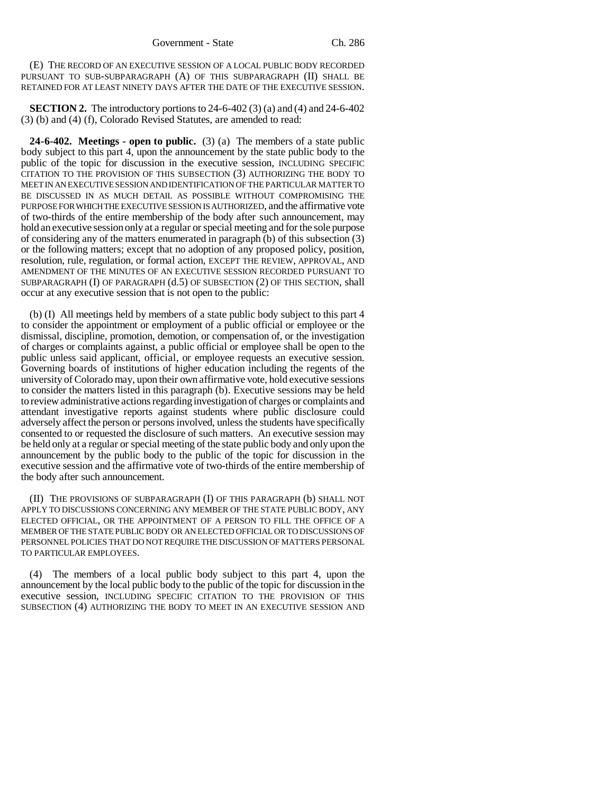(E) THE RECORD OF AN EXECUTIVE SESSION OF A LOCAL PUBLIC BODY RECORDED PURSUANT TO SUB-SUBPARAGRAPH (A) OF THIS SUBPARAGRAPH (II) SHALL BE RETAINED FOR AT LEAST NINETY DAYS AFTER THE DATE OF THE EXECUTIVE SESSION.

**SECTION 2.** The introductory portions to 24-6-402 (3) (a) and (4) and 24-6-402 (3) (b) and (4) (f), Colorado Revised Statutes, are amended to read:

**24-6-402. Meetings - open to public.** (3) (a) The members of a state public body subject to this part 4, upon the announcement by the state public body to the public of the topic for discussion in the executive session, INCLUDING SPECIFIC CITATION TO THE PROVISION OF THIS SUBSECTION (3) AUTHORIZING THE BODY TO MEET IN AN EXECUTIVE SESSION AND IDENTIFICATION OF THE PARTICULAR MATTER TO BE DISCUSSED IN AS MUCH DETAIL AS POSSIBLE WITHOUT COMPROMISING THE PURPOSE FOR WHICH THE EXECUTIVE SESSION IS AUTHORIZED, and the affirmative vote of two-thirds of the entire membership of the body after such announcement, may hold an executive session only at a regular or special meeting and for the sole purpose of considering any of the matters enumerated in paragraph (b) of this subsection (3) or the following matters; except that no adoption of any proposed policy, position, resolution, rule, regulation, or formal action, EXCEPT THE REVIEW, APPROVAL, AND AMENDMENT OF THE MINUTES OF AN EXECUTIVE SESSION RECORDED PURSUANT TO SUBPARAGRAPH (I) OF PARAGRAPH (d.5) OF SUBSECTION (2) OF THIS SECTION, shall occur at any executive session that is not open to the public:

(b) (I) All meetings held by members of a state public body subject to this part 4 to consider the appointment or employment of a public official or employee or the dismissal, discipline, promotion, demotion, or compensation of, or the investigation of charges or complaints against, a public official or employee shall be open to the public unless said applicant, official, or employee requests an executive session. Governing boards of institutions of higher education including the regents of the university of Colorado may, upon their own affirmative vote, hold executive sessions to consider the matters listed in this paragraph (b). Executive sessions may be held to review administrative actions regarding investigation of charges or complaints and attendant investigative reports against students where public disclosure could adversely affect the person or persons involved, unless the students have specifically consented to or requested the disclosure of such matters. An executive session may be held only at a regular or special meeting of the state public body and only upon the announcement by the public body to the public of the topic for discussion in the executive session and the affirmative vote of two-thirds of the entire membership of the body after such announcement.

(II) THE PROVISIONS OF SUBPARAGRAPH (I) OF THIS PARAGRAPH (b) SHALL NOT APPLY TO DISCUSSIONS CONCERNING ANY MEMBER OF THE STATE PUBLIC BODY, ANY ELECTED OFFICIAL, OR THE APPOINTMENT OF A PERSON TO FILL THE OFFICE OF A MEMBER OF THE STATE PUBLIC BODY OR AN ELECTED OFFICIAL OR TO DISCUSSIONS OF PERSONNEL POLICIES THAT DO NOT REQUIRE THE DISCUSSION OF MATTERS PERSONAL TO PARTICULAR EMPLOYEES.

(4) The members of a local public body subject to this part 4, upon the announcement by the local public body to the public of the topic for discussion in the executive session, INCLUDING SPECIFIC CITATION TO THE PROVISION OF THIS SUBSECTION (4) AUTHORIZING THE BODY TO MEET IN AN EXECUTIVE SESSION AND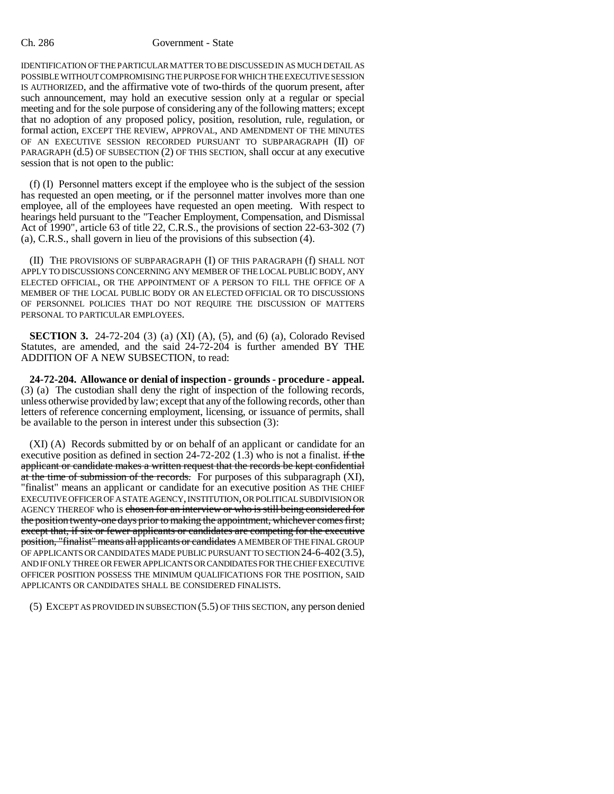## Ch. 286 Government - State

IDENTIFICATION OF THE PARTICULAR MATTER TO BE DISCUSSED IN AS MUCH DETAIL AS POSSIBLE WITHOUT COMPROMISING THE PURPOSE FOR WHICH THE EXECUTIVE SESSION IS AUTHORIZED, and the affirmative vote of two-thirds of the quorum present, after such announcement, may hold an executive session only at a regular or special meeting and for the sole purpose of considering any of the following matters; except that no adoption of any proposed policy, position, resolution, rule, regulation, or formal action, EXCEPT THE REVIEW, APPROVAL, AND AMENDMENT OF THE MINUTES OF AN EXECUTIVE SESSION RECORDED PURSUANT TO SUBPARAGRAPH (II) OF PARAGRAPH (d.5) OF SUBSECTION (2) OF THIS SECTION, shall occur at any executive session that is not open to the public:

(f) (I) Personnel matters except if the employee who is the subject of the session has requested an open meeting, or if the personnel matter involves more than one employee, all of the employees have requested an open meeting. With respect to hearings held pursuant to the "Teacher Employment, Compensation, and Dismissal Act of 1990", article 63 of title 22, C.R.S., the provisions of section 22-63-302 (7) (a), C.R.S., shall govern in lieu of the provisions of this subsection (4).

(II) THE PROVISIONS OF SUBPARAGRAPH (I) OF THIS PARAGRAPH (f) SHALL NOT APPLY TO DISCUSSIONS CONCERNING ANY MEMBER OF THE LOCAL PUBLIC BODY, ANY ELECTED OFFICIAL, OR THE APPOINTMENT OF A PERSON TO FILL THE OFFICE OF A MEMBER OF THE LOCAL PUBLIC BODY OR AN ELECTED OFFICIAL OR TO DISCUSSIONS OF PERSONNEL POLICIES THAT DO NOT REQUIRE THE DISCUSSION OF MATTERS PERSONAL TO PARTICULAR EMPLOYEES.

**SECTION 3.** 24-72-204 (3) (a) (XI) (A), (5), and (6) (a), Colorado Revised Statutes, are amended, and the said 24-72-204 is further amended BY THE ADDITION OF A NEW SUBSECTION, to read:

**24-72-204. Allowance or denial of inspection - grounds - procedure - appeal.** (3) (a) The custodian shall deny the right of inspection of the following records, unless otherwise provided by law; except that any of the following records, other than letters of reference concerning employment, licensing, or issuance of permits, shall be available to the person in interest under this subsection (3):

(XI) (A) Records submitted by or on behalf of an applicant or candidate for an executive position as defined in section  $24-72-202$  (1.3) who is not a finalist. if the applicant or candidate makes a written request that the records be kept confidential at the time of submission of the records. For purposes of this subparagraph (XI), "finalist" means an applicant or candidate for an executive position AS THE CHIEF EXECUTIVE OFFICER OF A STATE AGENCY, INSTITUTION, OR POLITICAL SUBDIVISION OR AGENCY THEREOF who is chosen for an interview or who is still being considered for the position twenty-one days prior to making the appointment, whichever comes first; except that, if six or fewer applicants or candidates are competing for the executive position, "finalist" means all applicants or candidates A MEMBER OF THE FINAL GROUP OF APPLICANTS OR CANDIDATES MADE PUBLIC PURSUANT TO SECTION 24-6-402(3.5), AND IF ONLY THREE OR FEWER APPLICANTS OR CANDIDATES FOR THE CHIEF EXECUTIVE OFFICER POSITION POSSESS THE MINIMUM QUALIFICATIONS FOR THE POSITION, SAID APPLICANTS OR CANDIDATES SHALL BE CONSIDERED FINALISTS.

(5) EXCEPT AS PROVIDED IN SUBSECTION (5.5) OF THIS SECTION, any person denied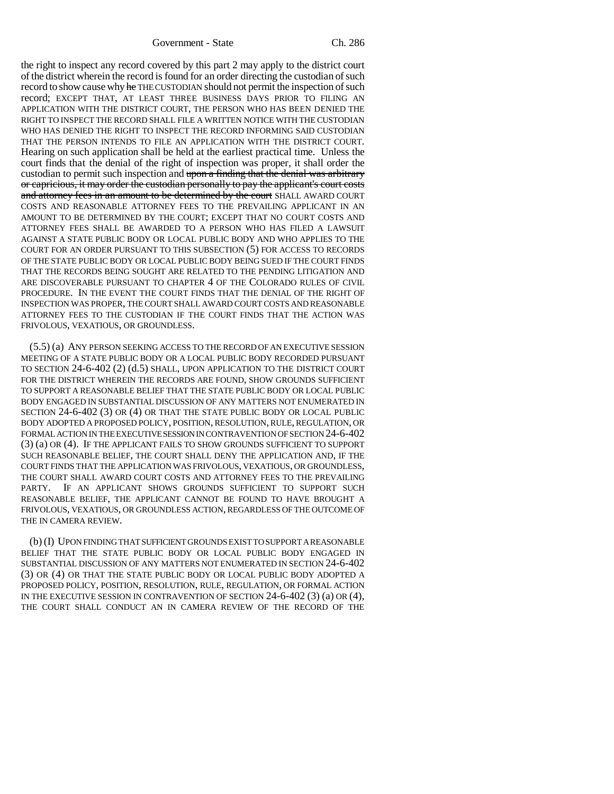Government - State Ch. 286

the right to inspect any record covered by this part 2 may apply to the district court of the district wherein the record is found for an order directing the custodian of such record to show cause why he THE CUSTODIAN should not permit the inspection of such record; EXCEPT THAT, AT LEAST THREE BUSINESS DAYS PRIOR TO FILING AN APPLICATION WITH THE DISTRICT COURT, THE PERSON WHO HAS BEEN DENIED THE RIGHT TO INSPECT THE RECORD SHALL FILE A WRITTEN NOTICE WITH THE CUSTODIAN WHO HAS DENIED THE RIGHT TO INSPECT THE RECORD INFORMING SAID CUSTODIAN THAT THE PERSON INTENDS TO FILE AN APPLICATION WITH THE DISTRICT COURT. Hearing on such application shall be held at the earliest practical time. Unless the court finds that the denial of the right of inspection was proper, it shall order the custodian to permit such inspection and upon a finding that the denial was arbitrary or capricious, it may order the custodian personally to pay the applicant's court costs and attorney fees in an amount to be determined by the court SHALL AWARD COURT COSTS AND REASONABLE ATTORNEY FEES TO THE PREVAILING APPLICANT IN AN AMOUNT TO BE DETERMINED BY THE COURT; EXCEPT THAT NO COURT COSTS AND ATTORNEY FEES SHALL BE AWARDED TO A PERSON WHO HAS FILED A LAWSUIT AGAINST A STATE PUBLIC BODY OR LOCAL PUBLIC BODY AND WHO APPLIES TO THE COURT FOR AN ORDER PURSUANT TO THIS SUBSECTION (5) FOR ACCESS TO RECORDS OF THE STATE PUBLIC BODY OR LOCAL PUBLIC BODY BEING SUED IF THE COURT FINDS THAT THE RECORDS BEING SOUGHT ARE RELATED TO THE PENDING LITIGATION AND ARE DISCOVERABLE PURSUANT TO CHAPTER 4 OF THE COLORADO RULES OF CIVIL PROCEDURE. IN THE EVENT THE COURT FINDS THAT THE DENIAL OF THE RIGHT OF INSPECTION WAS PROPER, THE COURT SHALL AWARD COURT COSTS AND REASONABLE ATTORNEY FEES TO THE CUSTODIAN IF THE COURT FINDS THAT THE ACTION WAS FRIVOLOUS, VEXATIOUS, OR GROUNDLESS.

(5.5) (a) ANY PERSON SEEKING ACCESS TO THE RECORD OF AN EXECUTIVE SESSION MEETING OF A STATE PUBLIC BODY OR A LOCAL PUBLIC BODY RECORDED PURSUANT TO SECTION 24-6-402 (2) (d.5) SHALL, UPON APPLICATION TO THE DISTRICT COURT FOR THE DISTRICT WHEREIN THE RECORDS ARE FOUND, SHOW GROUNDS SUFFICIENT TO SUPPORT A REASONABLE BELIEF THAT THE STATE PUBLIC BODY OR LOCAL PUBLIC BODY ENGAGED IN SUBSTANTIAL DISCUSSION OF ANY MATTERS NOT ENUMERATED IN SECTION 24-6-402 (3) OR (4) OR THAT THE STATE PUBLIC BODY OR LOCAL PUBLIC BODY ADOPTED A PROPOSED POLICY, POSITION, RESOLUTION, RULE, REGULATION, OR FORMAL ACTION IN THE EXECUTIVE SESSION IN CONTRAVENTION OF SECTION 24-6-402 (3) (a) OR (4). IF THE APPLICANT FAILS TO SHOW GROUNDS SUFFICIENT TO SUPPORT SUCH REASONABLE BELIEF, THE COURT SHALL DENY THE APPLICATION AND, IF THE COURT FINDS THAT THE APPLICATION WAS FRIVOLOUS, VEXATIOUS, OR GROUNDLESS, THE COURT SHALL AWARD COURT COSTS AND ATTORNEY FEES TO THE PREVAILING PARTY. IF AN APPLICANT SHOWS GROUNDS SUFFICIENT TO SUPPORT SUCH REASONABLE BELIEF, THE APPLICANT CANNOT BE FOUND TO HAVE BROUGHT A FRIVOLOUS, VEXATIOUS, OR GROUNDLESS ACTION, REGARDLESS OF THE OUTCOME OF THE IN CAMERA REVIEW.

(b) (I) UPON FINDING THAT SUFFICIENT GROUNDS EXIST TO SUPPORT A REASONABLE BELIEF THAT THE STATE PUBLIC BODY OR LOCAL PUBLIC BODY ENGAGED IN SUBSTANTIAL DISCUSSION OF ANY MATTERS NOT ENUMERATED IN SECTION 24-6-402 (3) OR (4) OR THAT THE STATE PUBLIC BODY OR LOCAL PUBLIC BODY ADOPTED A PROPOSED POLICY, POSITION, RESOLUTION, RULE, REGULATION, OR FORMAL ACTION IN THE EXECUTIVE SESSION IN CONTRAVENTION OF SECTION 24-6-402 (3) (a) OR (4), THE COURT SHALL CONDUCT AN IN CAMERA REVIEW OF THE RECORD OF THE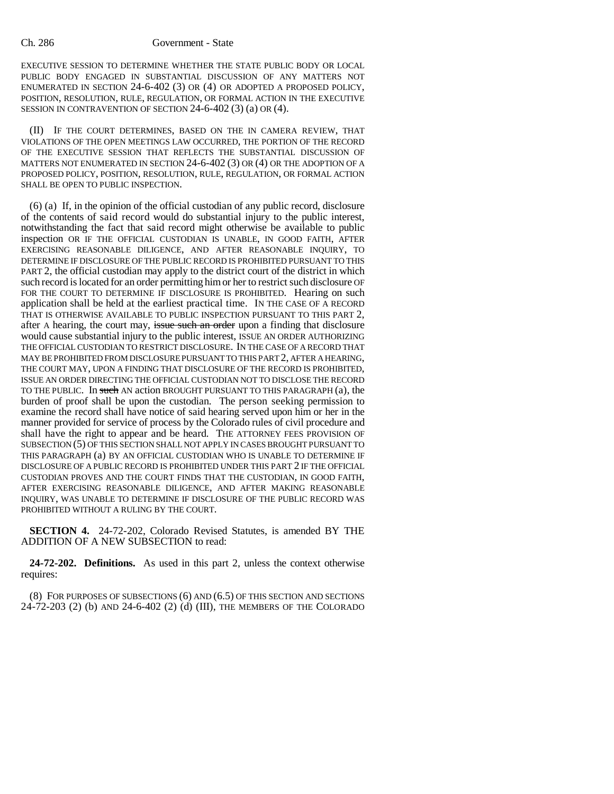EXECUTIVE SESSION TO DETERMINE WHETHER THE STATE PUBLIC BODY OR LOCAL PUBLIC BODY ENGAGED IN SUBSTANTIAL DISCUSSION OF ANY MATTERS NOT ENUMERATED IN SECTION 24-6-402 (3) OR (4) OR ADOPTED A PROPOSED POLICY, POSITION, RESOLUTION, RULE, REGULATION, OR FORMAL ACTION IN THE EXECUTIVE SESSION IN CONTRAVENTION OF SECTION 24-6-402 (3) (a) OR (4).

(II) IF THE COURT DETERMINES, BASED ON THE IN CAMERA REVIEW, THAT VIOLATIONS OF THE OPEN MEETINGS LAW OCCURRED, THE PORTION OF THE RECORD OF THE EXECUTIVE SESSION THAT REFLECTS THE SUBSTANTIAL DISCUSSION OF MATTERS NOT ENUMERATED IN SECTION 24-6-402 (3) OR (4) OR THE ADOPTION OF A PROPOSED POLICY, POSITION, RESOLUTION, RULE, REGULATION, OR FORMAL ACTION SHALL BE OPEN TO PUBLIC INSPECTION.

(6) (a) If, in the opinion of the official custodian of any public record, disclosure of the contents of said record would do substantial injury to the public interest, notwithstanding the fact that said record might otherwise be available to public inspection OR IF THE OFFICIAL CUSTODIAN IS UNABLE, IN GOOD FAITH, AFTER EXERCISING REASONABLE DILIGENCE, AND AFTER REASONABLE INQUIRY, TO DETERMINE IF DISCLOSURE OF THE PUBLIC RECORD IS PROHIBITED PURSUANT TO THIS PART 2, the official custodian may apply to the district court of the district in which such record is located for an order permitting him or her to restrict such disclosure OF FOR THE COURT TO DETERMINE IF DISCLOSURE IS PROHIBITED. Hearing on such application shall be held at the earliest practical time. IN THE CASE OF A RECORD THAT IS OTHERWISE AVAILABLE TO PUBLIC INSPECTION PURSUANT TO THIS PART 2, after A hearing, the court may, issue such an order upon a finding that disclosure would cause substantial injury to the public interest, ISSUE AN ORDER AUTHORIZING THE OFFICIAL CUSTODIAN TO RESTRICT DISCLOSURE. IN THE CASE OF A RECORD THAT MAY BE PROHIBITED FROM DISCLOSURE PURSUANT TO THIS PART 2, AFTER A HEARING, THE COURT MAY, UPON A FINDING THAT DISCLOSURE OF THE RECORD IS PROHIBITED, ISSUE AN ORDER DIRECTING THE OFFICIAL CUSTODIAN NOT TO DISCLOSE THE RECORD TO THE PUBLIC. In such AN action BROUGHT PURSUANT TO THIS PARAGRAPH (a), the burden of proof shall be upon the custodian. The person seeking permission to examine the record shall have notice of said hearing served upon him or her in the manner provided for service of process by the Colorado rules of civil procedure and shall have the right to appear and be heard. THE ATTORNEY FEES PROVISION OF SUBSECTION (5) OF THIS SECTION SHALL NOT APPLY IN CASES BROUGHT PURSUANT TO THIS PARAGRAPH (a) BY AN OFFICIAL CUSTODIAN WHO IS UNABLE TO DETERMINE IF DISCLOSURE OF A PUBLIC RECORD IS PROHIBITED UNDER THIS PART 2 IF THE OFFICIAL CUSTODIAN PROVES AND THE COURT FINDS THAT THE CUSTODIAN, IN GOOD FAITH, AFTER EXERCISING REASONABLE DILIGENCE, AND AFTER MAKING REASONABLE INQUIRY, WAS UNABLE TO DETERMINE IF DISCLOSURE OF THE PUBLIC RECORD WAS PROHIBITED WITHOUT A RULING BY THE COURT.

**SECTION 4.** 24-72-202, Colorado Revised Statutes, is amended BY THE ADDITION OF A NEW SUBSECTION to read:

**24-72-202. Definitions.** As used in this part 2, unless the context otherwise requires:

(8) FOR PURPOSES OF SUBSECTIONS (6) AND (6.5) OF THIS SECTION AND SECTIONS 24-72-203 (2) (b) AND 24-6-402 (2) (d) (III), THE MEMBERS OF THE COLORADO